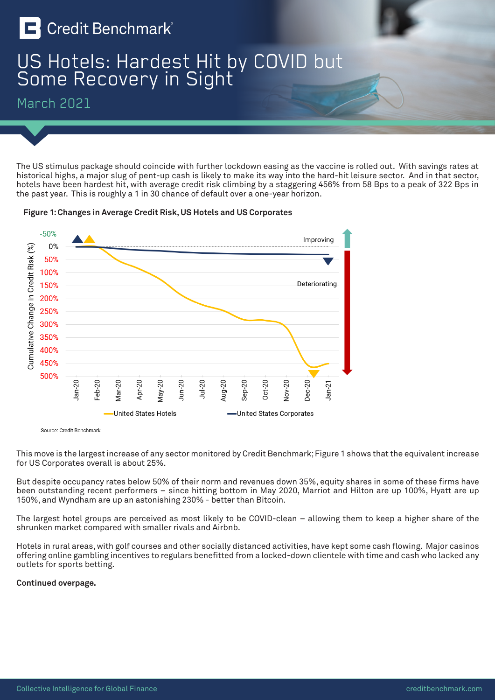

## US Hotels: Hardest Hit by COVID but Some Recovery in Sight

March 2021

The US stimulus package should coincide with further lockdown easing as the vaccine is rolled out. With savings rates at historical highs, a major slug of pent-up cash is likely to make its way into the hard-hit leisure sector. And in that sector, hotels have been hardest hit, with average credit risk climbing by a staggering 456% from 58 Bps to a peak of 322 Bps in the past year. This is roughly a 1 in 30 chance of default over a one-year horizon.





Source: Credit Benchmark

This move is the largest increase of any sector monitored by Credit Benchmark; Figure 1 shows that the equivalent increase for US Corporates overall is about 25%.

But despite occupancy rates below 50% of their norm and revenues down 35%, equity shares in some of these firms have been outstanding recent performers – since hitting bottom in May 2020, Marriot and Hilton are up 100%, Hyatt are up 150%, and Wyndham are up an astonishing 230% - better than Bitcoin.

The largest hotel groups are perceived as most likely to be COVID-clean – allowing them to keep a higher share of the shrunken market compared with smaller rivals and Airbnb.

Hotels in rural areas, with golf courses and other socially distanced activities, have kept some cash flowing. Major casinos offering online gambling incentives to regulars benefitted from a locked-down clientele with time and cash who lacked any outlets for sports betting.

## **Continued overpage.**